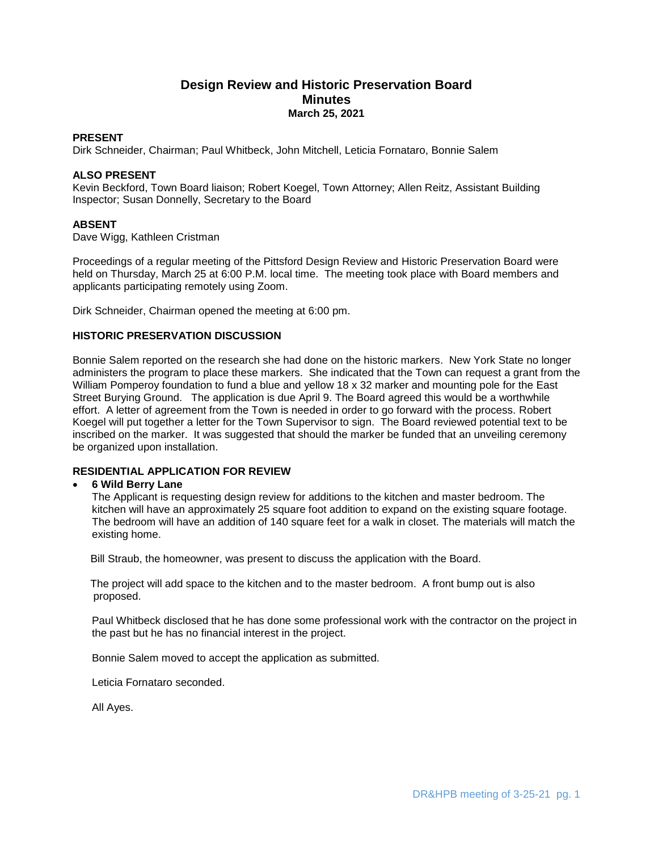# **Design Review and Historic Preservation Board Minutes March 25, 2021**

## **PRESENT**

Dirk Schneider, Chairman; Paul Whitbeck, John Mitchell, Leticia Fornataro, Bonnie Salem

## **ALSO PRESENT**

Kevin Beckford, Town Board liaison; Robert Koegel, Town Attorney; Allen Reitz, Assistant Building Inspector; Susan Donnelly, Secretary to the Board

## **ABSENT**

Dave Wigg, Kathleen Cristman

Proceedings of a regular meeting of the Pittsford Design Review and Historic Preservation Board were held on Thursday, March 25 at 6:00 P.M. local time. The meeting took place with Board members and applicants participating remotely using Zoom.

Dirk Schneider, Chairman opened the meeting at 6:00 pm.

## **HISTORIC PRESERVATION DISCUSSION**

Bonnie Salem reported on the research she had done on the historic markers. New York State no longer administers the program to place these markers. She indicated that the Town can request a grant from the William Pomperoy foundation to fund a blue and yellow 18 x 32 marker and mounting pole for the East Street Burying Ground. The application is due April 9. The Board agreed this would be a worthwhile effort. A letter of agreement from the Town is needed in order to go forward with the process. Robert Koegel will put together a letter for the Town Supervisor to sign. The Board reviewed potential text to be inscribed on the marker. It was suggested that should the marker be funded that an unveiling ceremony be organized upon installation.

### **RESIDENTIAL APPLICATION FOR REVIEW**

### **6 Wild Berry Lane**

The Applicant is requesting design review for additions to the kitchen and master bedroom. The kitchen will have an approximately 25 square foot addition to expand on the existing square footage. The bedroom will have an addition of 140 square feet for a walk in closet. The materials will match the existing home.

Bill Straub, the homeowner, was present to discuss the application with the Board.

 The project will add space to the kitchen and to the master bedroom. A front bump out is also proposed.

Paul Whitbeck disclosed that he has done some professional work with the contractor on the project in the past but he has no financial interest in the project.

Bonnie Salem moved to accept the application as submitted.

Leticia Fornataro seconded.

All Ayes.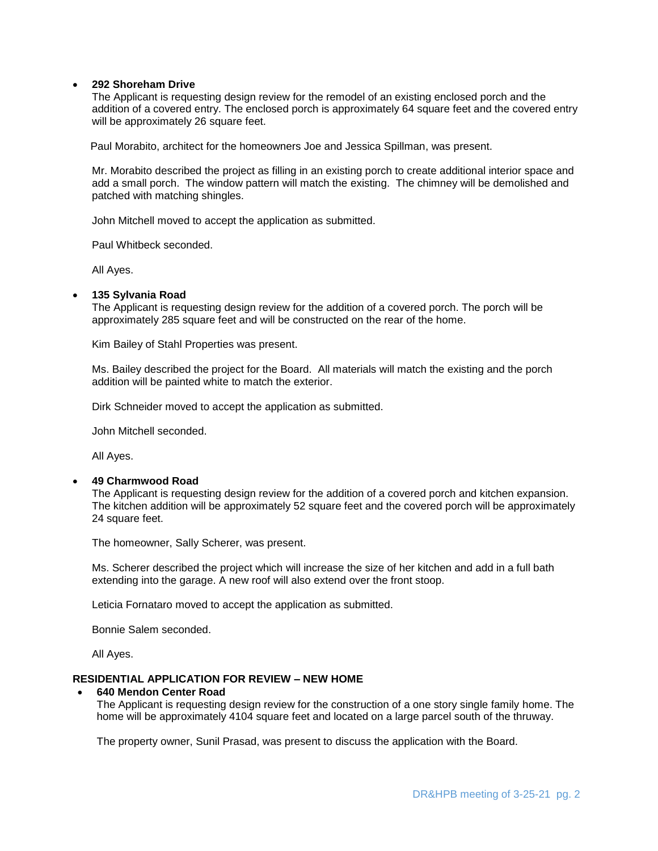#### **292 Shoreham Drive**

The Applicant is requesting design review for the remodel of an existing enclosed porch and the addition of a covered entry. The enclosed porch is approximately 64 square feet and the covered entry will be approximately 26 square feet.

Paul Morabito, architect for the homeowners Joe and Jessica Spillman, was present.

Mr. Morabito described the project as filling in an existing porch to create additional interior space and add a small porch. The window pattern will match the existing. The chimney will be demolished and patched with matching shingles.

John Mitchell moved to accept the application as submitted.

Paul Whitbeck seconded.

All Ayes.

### **135 Sylvania Road**

The Applicant is requesting design review for the addition of a covered porch. The porch will be approximately 285 square feet and will be constructed on the rear of the home.

Kim Bailey of Stahl Properties was present.

Ms. Bailey described the project for the Board. All materials will match the existing and the porch addition will be painted white to match the exterior.

Dirk Schneider moved to accept the application as submitted.

John Mitchell seconded.

All Ayes.

### **49 Charmwood Road**

The Applicant is requesting design review for the addition of a covered porch and kitchen expansion. The kitchen addition will be approximately 52 square feet and the covered porch will be approximately 24 square feet.

The homeowner, Sally Scherer, was present.

Ms. Scherer described the project which will increase the size of her kitchen and add in a full bath extending into the garage. A new roof will also extend over the front stoop.

Leticia Fornataro moved to accept the application as submitted.

Bonnie Salem seconded.

All Ayes.

### **RESIDENTIAL APPLICATION FOR REVIEW – NEW HOME**

### **640 Mendon Center Road**

The Applicant is requesting design review for the construction of a one story single family home. The home will be approximately 4104 square feet and located on a large parcel south of the thruway.

The property owner, Sunil Prasad, was present to discuss the application with the Board.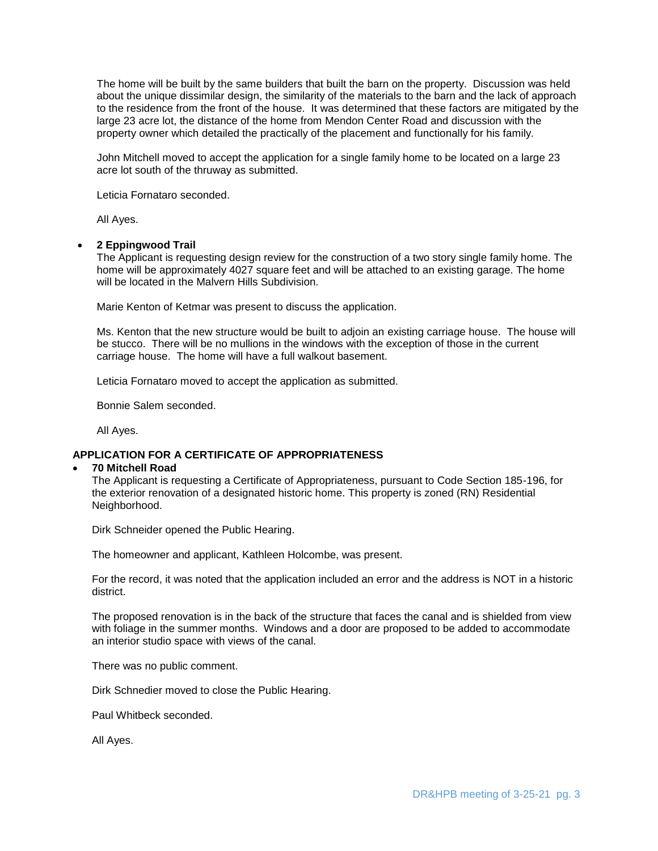The home will be built by the same builders that built the barn on the property. Discussion was held about the unique dissimilar design, the similarity of the materials to the barn and the lack of approach to the residence from the front of the house. It was determined that these factors are mitigated by the large 23 acre lot, the distance of the home from Mendon Center Road and discussion with the property owner which detailed the practically of the placement and functionally for his family.

John Mitchell moved to accept the application for a single family home to be located on a large 23 acre lot south of the thruway as submitted.

Leticia Fornataro seconded.

All Ayes.

#### **2 Eppingwood Trail**

The Applicant is requesting design review for the construction of a two story single family home. The home will be approximately 4027 square feet and will be attached to an existing garage. The home will be located in the Malvern Hills Subdivision.

Marie Kenton of Ketmar was present to discuss the application.

Ms. Kenton that the new structure would be built to adjoin an existing carriage house. The house will be stucco. There will be no mullions in the windows with the exception of those in the current carriage house. The home will have a full walkout basement.

Leticia Fornataro moved to accept the application as submitted.

Bonnie Salem seconded.

All Ayes.

# **APPLICATION FOR A CERTIFICATE OF APPROPRIATENESS**

#### **70 Mitchell Road**

The Applicant is requesting a Certificate of Appropriateness, pursuant to Code Section 185-196, for the exterior renovation of a designated historic home. This property is zoned (RN) Residential Neighborhood.

Dirk Schneider opened the Public Hearing.

The homeowner and applicant, Kathleen Holcombe, was present.

For the record, it was noted that the application included an error and the address is NOT in a historic district.

The proposed renovation is in the back of the structure that faces the canal and is shielded from view with foliage in the summer months. Windows and a door are proposed to be added to accommodate an interior studio space with views of the canal.

There was no public comment.

Dirk Schnedier moved to close the Public Hearing.

Paul Whitbeck seconded.

All Ayes.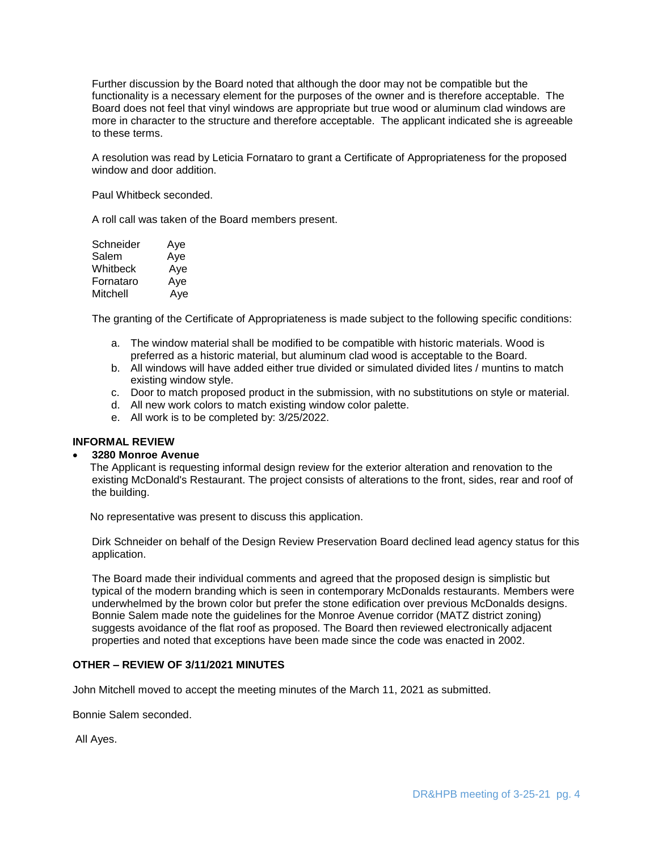Further discussion by the Board noted that although the door may not be compatible but the functionality is a necessary element for the purposes of the owner and is therefore acceptable. The Board does not feel that vinyl windows are appropriate but true wood or aluminum clad windows are more in character to the structure and therefore acceptable. The applicant indicated she is agreeable to these terms.

A resolution was read by Leticia Fornataro to grant a Certificate of Appropriateness for the proposed window and door addition.

Paul Whitbeck seconded.

A roll call was taken of the Board members present.

| Schneider | Aye |
|-----------|-----|
| Salem     | Aye |
| Whitbeck  | Aye |
| Fornataro | Aye |
| Mitchell  | Aye |

The granting of the Certificate of Appropriateness is made subject to the following specific conditions:

- a. The window material shall be modified to be compatible with historic materials. Wood is preferred as a historic material, but aluminum clad wood is acceptable to the Board.
- b. All windows will have added either true divided or simulated divided lites / muntins to match existing window style.
- c. Door to match proposed product in the submission, with no substitutions on style or material.
- d. All new work colors to match existing window color palette.
- e. All work is to be completed by: 3/25/2022.

### **INFORMAL REVIEW**

### **3280 Monroe Avenue**

The Applicant is requesting informal design review for the exterior alteration and renovation to the existing McDonald's Restaurant. The project consists of alterations to the front, sides, rear and roof of the building.

No representative was present to discuss this application.

Dirk Schneider on behalf of the Design Review Preservation Board declined lead agency status for this application.

The Board made their individual comments and agreed that the proposed design is simplistic but typical of the modern branding which is seen in contemporary McDonalds restaurants. Members were underwhelmed by the brown color but prefer the stone edification over previous McDonalds designs. Bonnie Salem made note the guidelines for the Monroe Avenue corridor (MATZ district zoning) suggests avoidance of the flat roof as proposed. The Board then reviewed electronically adjacent properties and noted that exceptions have been made since the code was enacted in 2002.

## **OTHER – REVIEW OF 3/11/2021 MINUTES**

John Mitchell moved to accept the meeting minutes of the March 11, 2021 as submitted.

Bonnie Salem seconded.

All Ayes.